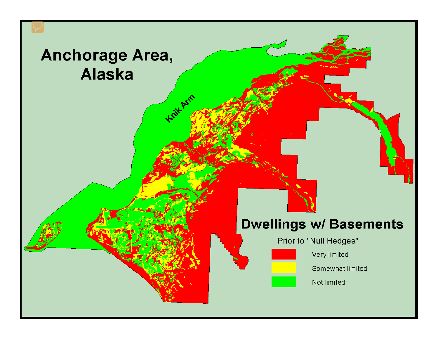## Anchorage Area, **Alaska**

Krit Arm

### **Dwellings w/ Basements**

Prior to "Null Hedges"

Very limited

Somewhat limited

Not limited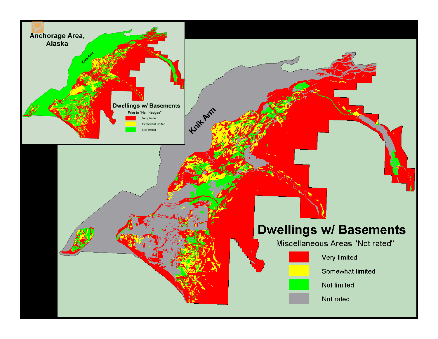

### **Dwellings w/ Basements**

Miscellaneous Areas "Not rated"



Very limited

Somewhat limited

Not limited

Not rated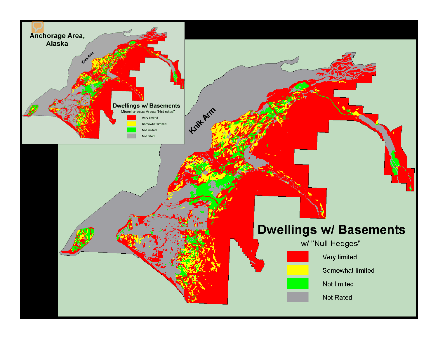

### **Dwellings w/ Basements**

w/ "Null Hedges"



Very limited

Somewhat limited

Not limited

Not Rated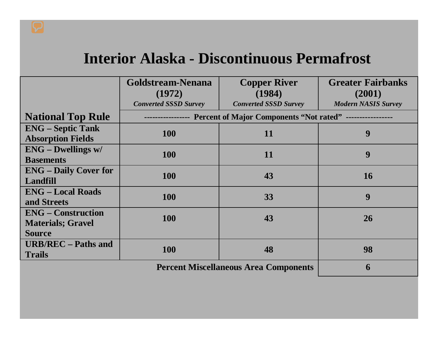## **Interior Alaska - Discontinuous Permafrost**

|                              | Goldstream-Nenana                                    | <b>Copper River</b>          | <b>Greater Fairbanks</b>   |  |  |  |
|------------------------------|------------------------------------------------------|------------------------------|----------------------------|--|--|--|
|                              | (1972)                                               | (1984)                       | (2001)                     |  |  |  |
|                              | <b>Converted SSSD Survey</b>                         | <b>Converted SSSD Survey</b> | <b>Modern NASIS Survey</b> |  |  |  |
| <b>National Top Rule</b>     | Percent of Major Components "Not rated" ------------ |                              |                            |  |  |  |
| <b>ENG</b> – Septic Tank     | <b>100</b>                                           | 11                           | 9                          |  |  |  |
| <b>Absorption Fields</b>     |                                                      |                              |                            |  |  |  |
| <b>ENG - Dwellings w/</b>    | <b>100</b>                                           | 11                           | 9                          |  |  |  |
| <b>Basements</b>             |                                                      |                              |                            |  |  |  |
| <b>ENG</b> – Daily Cover for | <b>100</b>                                           | 43                           | <b>16</b>                  |  |  |  |
| Landfill                     |                                                      |                              |                            |  |  |  |
| <b>ENG – Local Roads</b>     | <b>100</b>                                           | 33                           | 9                          |  |  |  |
| and Streets                  |                                                      |                              |                            |  |  |  |
| <b>ENG</b> – Construction    | <b>100</b>                                           | 43                           | 26                         |  |  |  |
| <b>Materials</b> ; Gravel    |                                                      |                              |                            |  |  |  |
| <b>Source</b>                |                                                      |                              |                            |  |  |  |
| <b>URB/REC</b> – Paths and   | <b>100</b>                                           | 48                           | 98                         |  |  |  |
| <b>Trails</b>                |                                                      |                              |                            |  |  |  |
|                              | 6                                                    |                              |                            |  |  |  |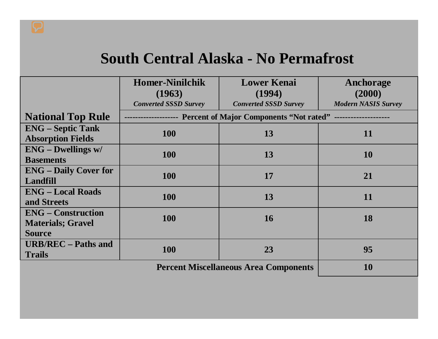## **South Central Alaska - No Permafrost**

|                              | <b>Homer-Ninilchik</b>       | <b>Lower Kenai</b>                                                            | Anchorage                  |  |  |
|------------------------------|------------------------------|-------------------------------------------------------------------------------|----------------------------|--|--|
|                              | (1963)                       | (1994)                                                                        |                            |  |  |
|                              |                              |                                                                               | (2000)                     |  |  |
|                              | <b>Converted SSSD Survey</b> | <b>Converted SSSD Survey</b>                                                  | <b>Modern NASIS Survey</b> |  |  |
| <b>National Top Rule</b>     |                              | ---------------- Percent of Major Components "Not rated" -------------------- |                            |  |  |
| <b>ENG</b> – Septic Tank     | <b>100</b>                   | 13                                                                            | 11                         |  |  |
| <b>Absorption Fields</b>     |                              |                                                                               |                            |  |  |
| $ENG - Dwellings$ w/         | <b>100</b>                   | 13                                                                            |                            |  |  |
| <b>Basements</b>             |                              |                                                                               | 10                         |  |  |
| <b>ENG</b> – Daily Cover for | <b>100</b>                   | 17                                                                            | 21                         |  |  |
| <b>Landfill</b>              |                              |                                                                               |                            |  |  |
| <b>ENG – Local Roads</b>     | <b>100</b>                   | 13                                                                            | 11                         |  |  |
| and Streets                  |                              |                                                                               |                            |  |  |
| <b>ENG</b> – Construction    | <b>100</b>                   | <b>16</b>                                                                     | 18                         |  |  |
| <b>Materials; Gravel</b>     |                              |                                                                               |                            |  |  |
| <b>Source</b>                |                              |                                                                               |                            |  |  |
| <b>URB/REC</b> – Paths and   | <b>100</b>                   | 23                                                                            | 95                         |  |  |
| <b>Trails</b>                |                              |                                                                               |                            |  |  |
|                              | <b>10</b>                    |                                                                               |                            |  |  |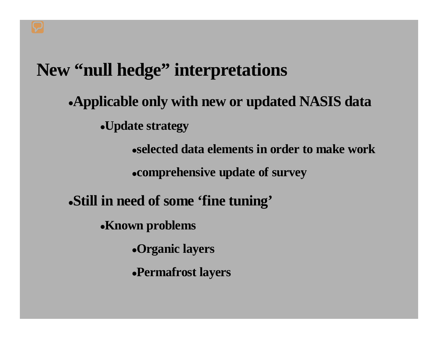## **New "null hedge" interpretations**

### •**Applicable only with new or updated NASIS data**

•**Update strategy**

•**selected data elements in order to make work**

•**comprehensive update of survey**

•**Still in need of some 'fine tuning'**

•**Known problems**

•**Organic layers**

•**Permafrost layers**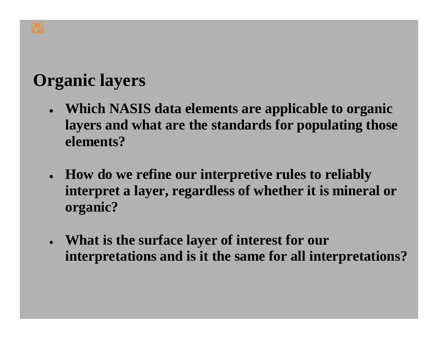## **Organic layers**

- • **Which NASIS data elements are applicable to organic layers and what are the standards for populating those elements?**
- • **How do we refine our interpretive rules to reliably interpret a layer, regardless of whether it is mineral or organic?**
- **What is the surface layer of interest for our interpretations and is it the same for all interpretations?**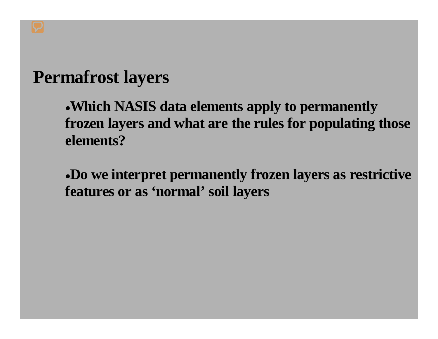## **Permafrost layers**

•**Which NASIS data elements apply to permanently frozen layers and what are the rules for populating those elements?**

•**Do we interpret permanently frozen layers as restrictive features or as 'normal' soil layers**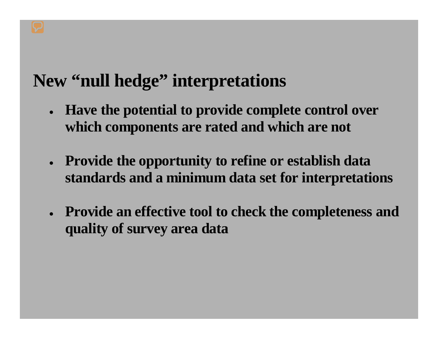# **New "null hedge" interpretations**

- $\bullet$  **Have the potential to provide complete control over which components are rated and which are not**
- **Provide the opportunity to refine or establish data standards and a minimum data set for interpretations**
- **Provide an effective tool to check the completeness and quality of survey area data**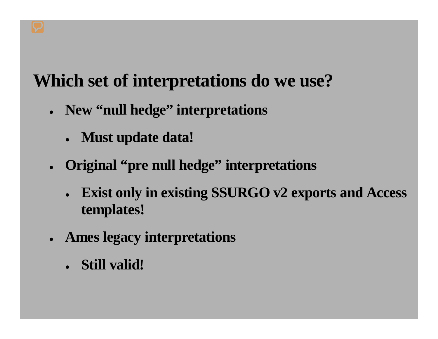# **Which set of interpretations do we use?**

- **New "null hedge" interpretations**
	- **Must update data!**
- **Original "pre null hedge" interpretations**
	- • **Exist only in existing SSURGO v2 exports and Access templates!**
- **Ames legacy interpretations**
	- **Still valid!**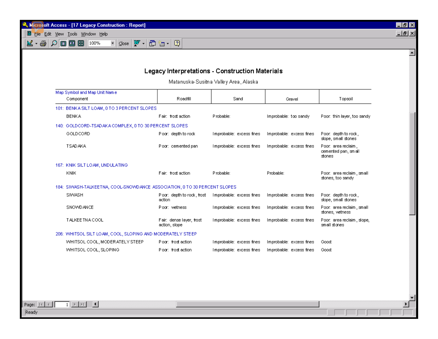Microsoft Access - [17 Legacy Construction : Report] The Edit View Lools Window Help

 $\mathbb{K}\cdot \mathfrak{S}$   $\mathcal{O}$  0 0 8 8  $\mathbb{H}$  100%

#### Legacy Interpretations - Construction Materials

 $\blacksquare$   $\blacksquare$   $\times$  $L = 2$ 

 $\overline{\phantom{a}}$ 

회

¥

Matanuska-Susitna Valley Area, Alaska

| Map Symbol and Map Unit Name                                               |                                           |                          |                          |                                                      |  |  |
|----------------------------------------------------------------------------|-------------------------------------------|--------------------------|--------------------------|------------------------------------------------------|--|--|
| Component                                                                  | Roadfill                                  | Sand                     | Gravel                   | Topsoil                                              |  |  |
| 101: BENKA SILT LOAM, 0 TO 3 PERCENT SLOPES                                |                                           |                          |                          |                                                      |  |  |
| <b>BENKA</b>                                                               | Fair: frost action                        | Probable:                | Improbable: too sandy    | Poor, thin layer, too sandy                          |  |  |
| 140: GOLDCORD-TSADAKA COMPLEX, 0 TO 30 PERCENT SLOPES                      |                                           |                          |                          |                                                      |  |  |
| GOLDCORD                                                                   | Poor: depth to rock                       | Improbable: excess fines | Improbable: excess fines | Poor, depth to rock,<br>slope, small stones          |  |  |
| <b>TSADAKA</b>                                                             | Poor: cemented pan                        | Improbable: excess fines | Improbable: excess fines | Poor. area reclaim,<br>cemented pan, small<br>stones |  |  |
| 167: KNIK SILT LOAM, UNDULATING                                            |                                           |                          |                          |                                                      |  |  |
| KNIK                                                                       | Fair: frost action                        | Probable:                | Probable:                | Poor, area reclaim, small<br>stones, too sandy       |  |  |
| 184: SIWASH-TALKEETNA, COOL-SNOWDANCE ASSOCIATION, 0 TO 30 PERCENT SLOPES. |                                           |                          |                          |                                                      |  |  |
| SIWASH                                                                     | Poor: depth to rock, frost<br>action      | Improbable: excess fines | Improbable: excess fines | Poor, depth to rock.<br>slope, small stones          |  |  |
| SNOWD ANCE                                                                 | Poor: wetness                             | Improbable: excess fines | Improbable: excess fines | Poor, area reclaim, small<br>stones, wetness         |  |  |
| <b>TALKEE TNA COOL</b>                                                     | Fair: dense layer, frost<br>action, slope | Improbable: excess fines | Improbable: excess fines | Poor, area reclaim, slope,<br>small stones           |  |  |
| 206: WHITSOL SILT LOAM, COOL, SLOPING AND MODERATELY STEEP                 |                                           |                          |                          |                                                      |  |  |
| WHITSOL COOL, MODER ATELY STEEP                                            | Ploor: frost action                       | Improbable: excess fines | Improbable: excess fines | Good:                                                |  |  |
| WHITSOL COOL, SLOPING                                                      | Ploor: frost action                       | Improbable: excess fines | Improbable: excess fines | Good:                                                |  |  |

Ready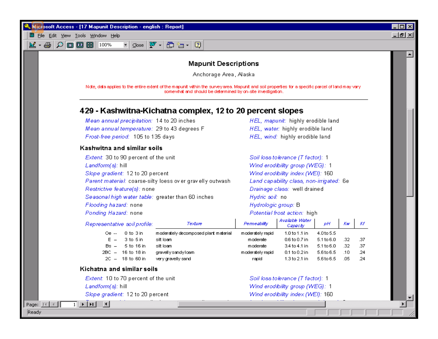

#### **Mapunit Descriptions**

Anchorage Area, Alaska

Note, data applies to the entire extent of the mapunit within the survey area. Mapunit and soil properties for a specific parcel of land may vary somewhat and should be determined by on-site investigation.

#### 429 - Kashwitna-Kichatna complex, 12 to 20 percent slopes

Mean annual precipitation: 14 to 20 inches Mean annual temperature: 29 to 43 degrees F Frost-free period: 105 to 135 days

#### Kashwitna and similar soils

| Extent: 30 to 90 percent of the unit                       | Soil loss tolerance (T factor): 1        |
|------------------------------------------------------------|------------------------------------------|
| Landform(s): hill                                          | Wind erodibility group (WEG): 1          |
| Slope gradient: 12 to 20 percent                           | Wind erodibility index (WEI): 160        |
| Parent material: coarse-silty loess over gravelly outwash. | Land capability class, non-irrigated: 6e |
| Restrictive feature(s): none                               | Drainage class: well drained             |
| Seasonal high water table: greater than 60 inches          | Hydric soil: no                          |
| Flooding hazard: none                                      | Hydrologic group: B                      |
| Ponding Hazard: none                                       | Potential frost action: high             |
|                                                            |                                          |

| Representative soil profile: | Texture                              | Permeability     | Available Water<br>Capacty | рH              | Κw  | Κf  |
|------------------------------|--------------------------------------|------------------|----------------------------|-----------------|-----|-----|
| $0$ to $3$ in .<br>0е --     | moderately decomposed plant material | moderately rapid | 1.0 to 1.1 in              | $4.0$ to 5.5    |     |     |
| 3 to 5 in<br>$E =$           | silt loam.                           | moderate         | 0.6 to 0.7 in              | $5.1\times 6.0$ | .32 | -37 |
| 5 to 16 in<br>Bs —           | silt loam                            | moderate         | 3.4 to 4.1 in              | $5.1\times 6.0$ | 32  | .37 |
| 16 to 18 in<br>2BC —         | gravellysandyloam                    | moderately rapid | $0.1$ to $0.2$ in          | 5.6to 6.5       | .10 | .24 |
| 18 to 60 in<br>$2C -$        | very gravelly sand                   | rapid            | $1.3$ to $2.1$ in          | 5.6to 6.5       | .05 | .24 |

#### Kichatna and similar soils

 $\overline{1}$  +  $\overline{1}$ 

Extent: 10 to 70 percent of the unit Landform(s): hill Slope gradient: 12 to 20 percent

Soil loss tolerance (T factor): 1 Wind erodibility group (WEG): 1 Wind erodibility index (WEI): 160

HEL, mapunit: highly erodible land

HEL, water: highly erodible land

HEL, wind: highly erodible land

Ready

Page: IN | 4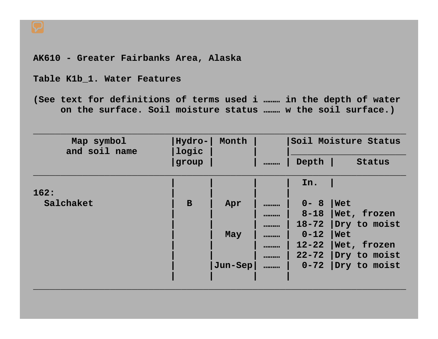**AK610 - Greater Fairbanks Area, Alaska**

**Table K1b\_1. Water Features**

**(See text for definitions of terms used i ……… in the depth of water on the surface. Soil moisture status ……… w the soil surface.)**

| Map symbol<br>and soil name | Hydro-<br>logic | Month   | Soil Moisture Status |               |
|-----------------------------|-----------------|---------|----------------------|---------------|
|                             | group           |         | <br>Depth            | <b>Status</b> |
|                             |                 |         | In.                  |               |
| 162:                        |                 |         |                      |               |
| Salchaket                   | $\mathbf B$     | Apr     | <br>$0 - 8$          | Wet           |
|                             |                 |         | <br>$8 - 18$         | Wet, frozen   |
|                             |                 |         | <br>$18 - 72$        | Dry to moist  |
|                             |                 | May     | <br>$0 - 12$         | <b>Net</b>    |
|                             |                 |         | <br>$12 - 22$        | Wet, frozen   |
|                             |                 |         | <br>$22 - 72$        | Dry to moist  |
|                             |                 | Jun-Sep | <br>$0 - 72$         | Dry to moist  |
|                             |                 |         |                      |               |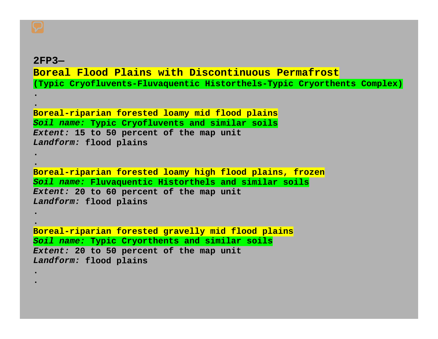#### **2FP3—**

**..**

**..**

**..**

**..**

### **Boreal Flood Plains with Discontinuous Permafrost(Typic Cryofluvents-Fluvaquentic Historthels-Typic Cryorthents Complex)**

```
Boreal-riparian forested loamy mid flood plains
Soil name: Typic Cryofluvents and similar soils
Extent: 15 to 50 percent of the map unit
Landform: flood plains
```

```
Boreal-riparian forested loamy high flood plains, frozen
Soil name: Fluvaquentic Historthels and similar soils
Extent: 20 to 60 percent of the map unit
Landform: flood plains
```

```
Boreal-riparian forested gravelly mid flood plains
Soil name: Typic Cryorthents and similar soils
Extent: 20 to 50 percent of the map unit
Landform: flood plains
```